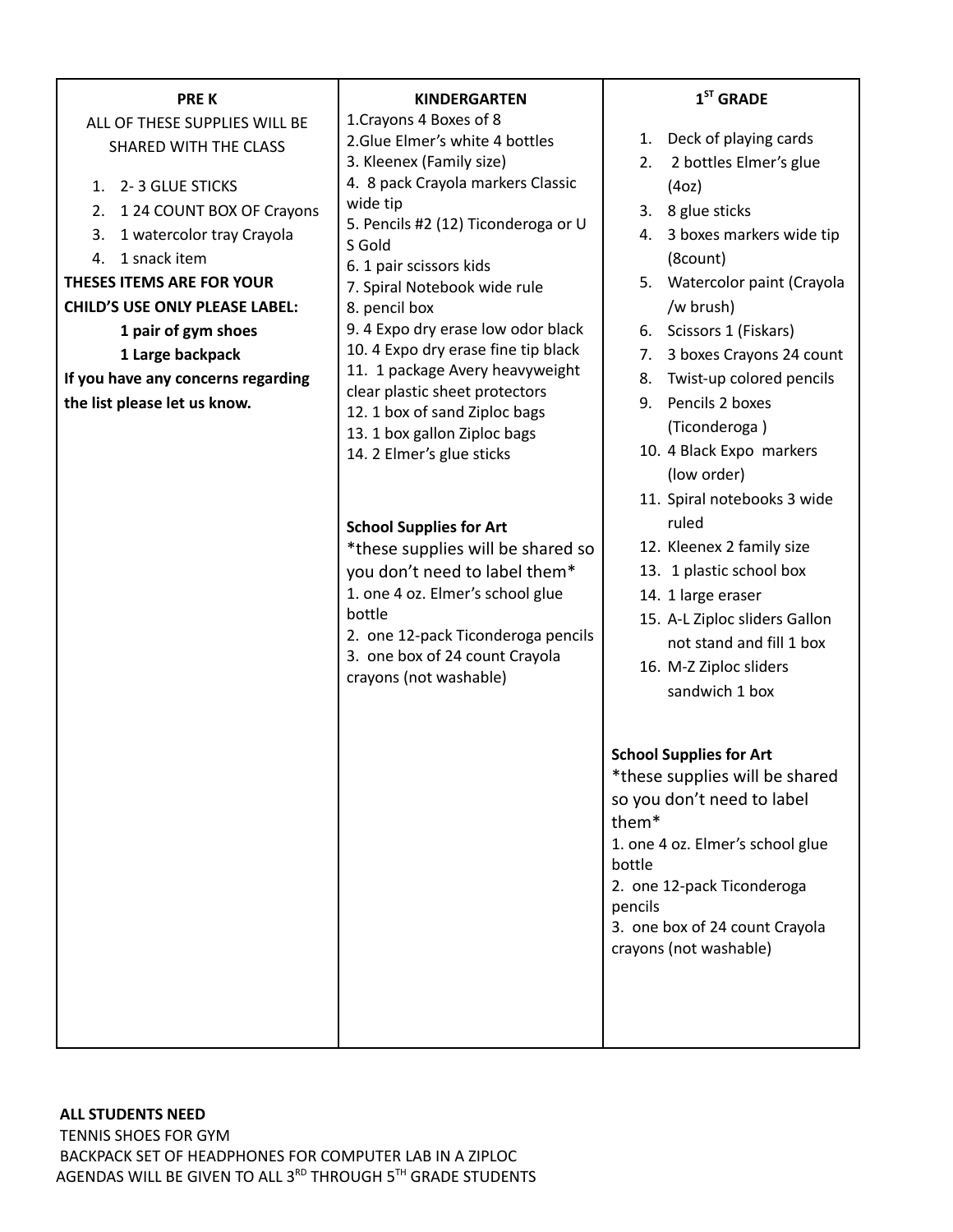| <b>PREK</b>                                                                                                                                                                                                                                                                                                                                                            | <b>KINDERGARTEN</b>                                                                                                                                                                                                                                                                                                                                                                                                                                                                                                                                                                                                                                                                                                                               | $1ST$ GRADE                                                                                                                                                                                                                                                                                                                                                                                                                                                                                                                                                          |
|------------------------------------------------------------------------------------------------------------------------------------------------------------------------------------------------------------------------------------------------------------------------------------------------------------------------------------------------------------------------|---------------------------------------------------------------------------------------------------------------------------------------------------------------------------------------------------------------------------------------------------------------------------------------------------------------------------------------------------------------------------------------------------------------------------------------------------------------------------------------------------------------------------------------------------------------------------------------------------------------------------------------------------------------------------------------------------------------------------------------------------|----------------------------------------------------------------------------------------------------------------------------------------------------------------------------------------------------------------------------------------------------------------------------------------------------------------------------------------------------------------------------------------------------------------------------------------------------------------------------------------------------------------------------------------------------------------------|
| ALL OF THESE SUPPLIES WILL BE<br>SHARED WITH THE CLASS<br>1. 2-3 GLUE STICKS<br>1 24 COUNT BOX OF Crayons<br>2.<br>1 watercolor tray Crayola<br>3.<br>1 snack item<br>4.<br><b>THESES ITEMS ARE FOR YOUR</b><br><b>CHILD'S USE ONLY PLEASE LABEL:</b><br>1 pair of gym shoes<br>1 Large backpack<br>If you have any concerns regarding<br>the list please let us know. | 1. Crayons 4 Boxes of 8<br>2.Glue Elmer's white 4 bottles<br>3. Kleenex (Family size)<br>4. 8 pack Crayola markers Classic<br>wide tip<br>5. Pencils #2 (12) Ticonderoga or U<br>S Gold<br>6. 1 pair scissors kids<br>7. Spiral Notebook wide rule<br>8. pencil box<br>9. 4 Expo dry erase low odor black<br>10. 4 Expo dry erase fine tip black<br>11. 1 package Avery heavyweight<br>clear plastic sheet protectors<br>12. 1 box of sand Ziploc bags<br>13. 1 box gallon Ziploc bags<br>14. 2 Elmer's glue sticks<br><b>School Supplies for Art</b><br>*these supplies will be shared so<br>you don't need to label them*<br>1. one 4 oz. Elmer's school glue<br>bottle<br>2. one 12-pack Ticonderoga pencils<br>3. one box of 24 count Crayola | Deck of playing cards<br>1.<br>2 bottles Elmer's glue<br>2.<br>(4oz)<br>8 glue sticks<br>3.<br>3 boxes markers wide tip<br>4.<br>(8count)<br>Watercolor paint (Crayola<br>5.<br>/w brush)<br>Scissors 1 (Fiskars)<br>6.<br>3 boxes Crayons 24 count<br>7.<br>Twist-up colored pencils<br>8.<br>Pencils 2 boxes<br>9.<br>(Ticonderoga)<br>10. 4 Black Expo markers<br>(low order)<br>11. Spiral notebooks 3 wide<br>ruled<br>12. Kleenex 2 family size<br>13. 1 plastic school box<br>14. 1 large eraser<br>15. A-L Ziploc sliders Gallon<br>not stand and fill 1 box |
|                                                                                                                                                                                                                                                                                                                                                                        | crayons (not washable)                                                                                                                                                                                                                                                                                                                                                                                                                                                                                                                                                                                                                                                                                                                            | 16. M-Z Ziploc sliders<br>sandwich 1 box<br><b>School Supplies for Art</b><br>*these supplies will be shared<br>so you don't need to label<br>them <sup>*</sup><br>1. one 4 oz. Elmer's school glue<br>bottle<br>2. one 12-pack Ticonderoga<br>pencils<br>3. one box of 24 count Crayola<br>crayons (not washable)                                                                                                                                                                                                                                                   |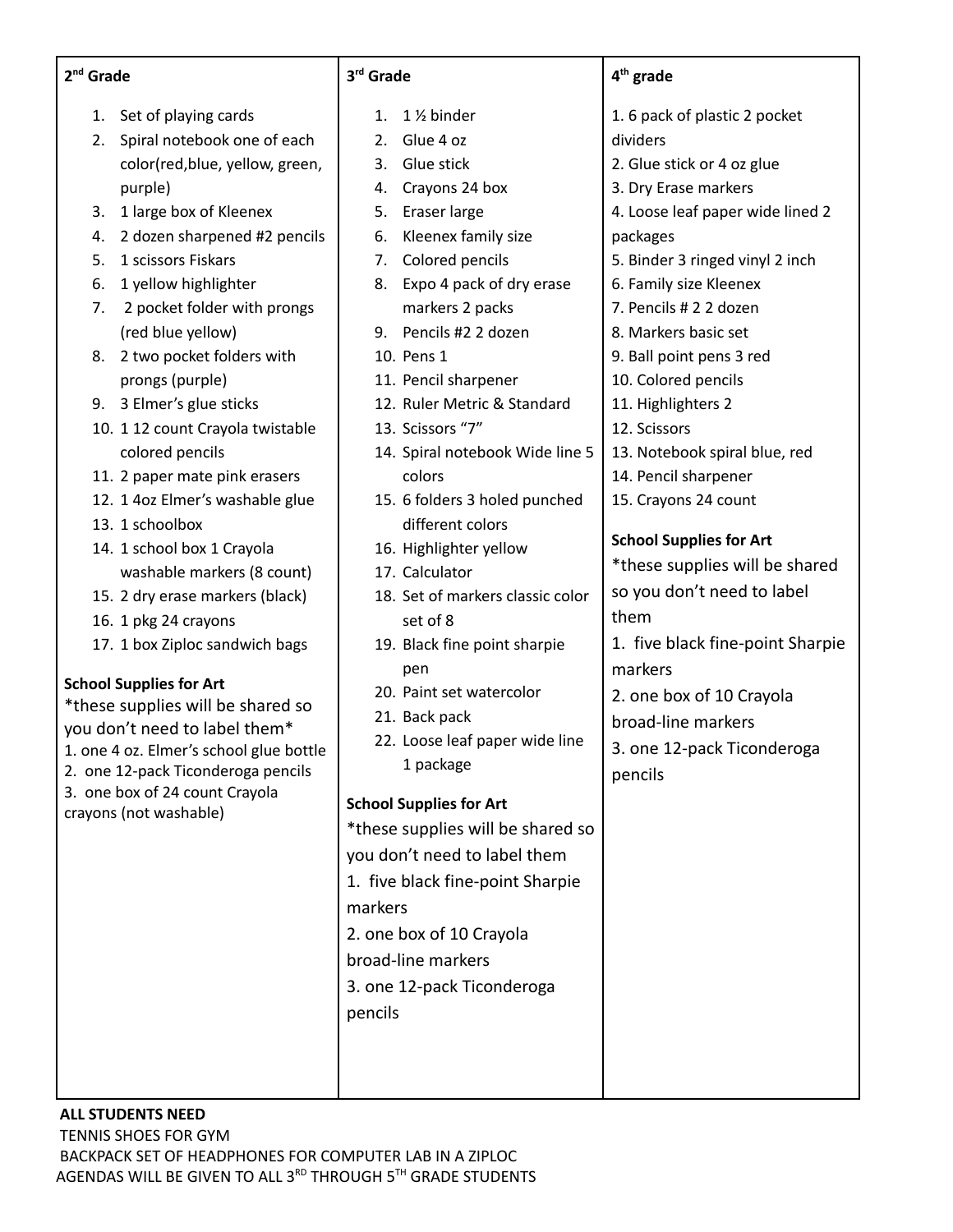- 1. Set of playing cards
- 2. Spiral notebook one of each color(red,blue, yellow, green, purple)
- 3. 1 large box of Kleenex
- 4. 2 dozen sharpened #2 pencils
- 5. 1 scissors Fiskars
- 6. 1 yellow highlighter
- 7. 2 pocket folder with prongs (red blue yellow)
- 8. 2 two pocket folders with prongs (purple)
- 9. 3 Elmer's glue sticks
- 10. 1 12 count Crayola twistable colored pencils
- 11. 2 paper mate pink erasers
- 12. 1 4oz Elmer's washable glue
- 13. 1 schoolbox
- 14. 1 school box 1 Crayola washable markers (8 count)
- 15. 2 dry erase markers (black)
- 16. 1 pkg 24 crayons
- 17. 1 box Ziploc sandwich bags

## **School Supplies for Art**

\*these supplies will be shared so you don't need to label them\* 1. one 4 oz. Elmer's school glue bottle 2. one 12-pack Ticonderoga pencils 3. one box of 24 count Crayola crayons (not washable)

| 3 <sup>rd</sup> Grade |
|-----------------------|
|                       |

- 1.  $1\frac{1}{2}$  binder
- 2. Glue 4 oz
- 3. Glue stick
- 4. Crayons 24 box
- 5. Eraser large
- 6. Kleenex family size
- 7. Colored pencils
- 8. Expo 4 pack of dry erase markers 2 packs
- 9. Pencils #2 2 dozen
- 10. Pens 1
- 11. Pencil sharpener
- 12. Ruler Metric & Standard
- 13. Scissors "7"
- 14. Spiral notebook Wide line 5 colors
- 15. 6 folders 3 holed punched different colors
- 16. Highlighter yellow
- 17. Calculator
- 18. Set of markers classic color set of 8
- 19. Black fine point sharpie pen
- 20. Paint set watercolor
- 21. Back pack
- 22. Loose leaf paper wide line 1 package

#### **School Supplies for Art**

- \*these supplies will be shared so you don't need to label them 1. five black fine-point Sharpie markers 2. one box of 10 Crayola broad-line markers 3. one 12-pack Ticonderoga
- pencils

#### **4 th grade**

- 1. 6 pack of plastic 2 pocket dividers
- 2. Glue stick or 4 oz glue
- 3. Dry Erase markers
- 4. Loose leaf paper wide lined 2 packages
- 5. Binder 3 ringed vinyl 2 inch
- 6. Family size Kleenex
- 7. Pencils # 2 2 dozen
- 8. Markers basic set
- 9. Ball point pens 3 red
- 10. Colored pencils
- 11. Highlighters 2
- 12. Scissors
- 13. Notebook spiral blue, red
- 14. Pencil sharpener
- 15. Crayons 24 count

#### **School Supplies for Art**

\*these supplies will be shared so you don't need to label them

1. five black fine-point Sharpie markers

2. one box of 10 Crayola

broad-line markers

3. one 12-pack Ticonderoga pencils

# **ALL STUDENTS NEED**

TENNIS SHOES FOR GYM BACKPACK SET OF HEADPHONES FOR COMPUTER LAB IN A ZIPLOC AGENDAS WILL BE GIVEN TO ALL 3 $^{\text{\tiny RD}}$  THROUGH 5 $^{\text{\tiny TH}}$  GRADE STUDENTS